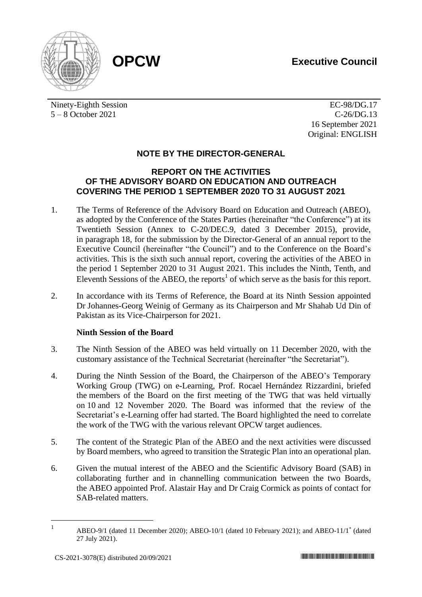



Ninety-Eighth Session 5 – 8 October 2021

EC-98/DG.17 C-26/DG.13 16 September 2021 Original: ENGLISH

## **NOTE BY THE DIRECTOR-GENERAL**

## **REPORT ON THE ACTIVITIES OF THE ADVISORY BOARD ON EDUCATION AND OUTREACH COVERING THE PERIOD 1 SEPTEMBER 2020 TO 31 AUGUST 2021**

- 1. The Terms of Reference of the Advisory Board on Education and Outreach (ABEO), as adopted by the Conference of the States Parties (hereinafter "the Conference") at its Twentieth Session (Annex to C-20/DEC.9, dated 3 December 2015), provide, in paragraph 18, for the submission by the Director-General of an annual report to the Executive Council (hereinafter "the Council") and to the Conference on the Board's activities. This is the sixth such annual report, covering the activities of the ABEO in the period 1 September 2020 to 31 August 2021. This includes the Ninth, Tenth, and Eleventh Sessions of the ABEO, the reports<sup>1</sup> of which serve as the basis for this report.
- 2. In accordance with its Terms of Reference, the Board at its Ninth Session appointed Dr Johannes-Georg Weinig of Germany as its Chairperson and Mr Shahab Ud Din of Pakistan as its Vice-Chairperson for 2021.

## **Ninth Session of the Board**

- 3. The Ninth Session of the ABEO was held virtually on 11 December 2020, with the customary assistance of the Technical Secretariat (hereinafter "the Secretariat").
- 4. During the Ninth Session of the Board, the Chairperson of the ABEO's Temporary Working Group (TWG) on e-Learning, Prof. Rocael Hernández Rizzardini, briefed the members of the Board on the first meeting of the TWG that was held virtually on 10 and 12 November 2020. The Board was informed that the review of the Secretariat's e-Learning offer had started. The Board highlighted the need to correlate the work of the TWG with the various relevant OPCW target audiences.
- 5. The content of the Strategic Plan of the ABEO and the next activities were discussed by Board members, who agreed to transition the Strategic Plan into an operational plan.
- 6. Given the mutual interest of the ABEO and the Scientific Advisory Board (SAB) in collaborating further and in channelling communication between the two Boards, the ABEO appointed Prof. Alastair Hay and Dr Craig Cormick as points of contact for SAB-related matters.

<sup>1</sup> ABEO-9/1 (dated 11 December 2020); ABEO-10/1 (dated 10 February 2021); and ABEO-11/1<sup>\*</sup> (dated 27 July 2021).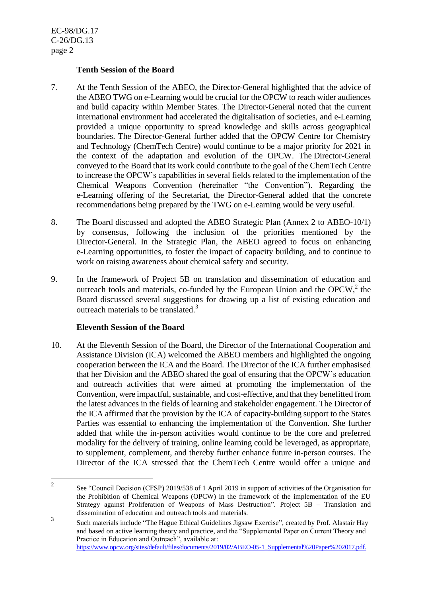### **Tenth Session of the Board**

- 7. At the Tenth Session of the ABEO, the Director-General highlighted that the advice of the ABEO TWG on e-Learning would be crucial for the OPCW to reach wider audiences and build capacity within Member States. The Director-General noted that the current international environment had accelerated the digitalisation of societies, and e-Learning provided a unique opportunity to spread knowledge and skills across geographical boundaries. The Director-General further added that the OPCW Centre for Chemistry and Technology (ChemTech Centre) would continue to be a major priority for 2021 in the context of the adaptation and evolution of the OPCW. The Director-General conveyed to the Board that its work could contribute to the goal of the ChemTech Centre to increase the OPCW's capabilities in several fields related to the implementation of the Chemical Weapons Convention (hereinafter "the Convention"). Regarding the e-Learning offering of the Secretariat, the Director-General added that the concrete recommendations being prepared by the TWG on e-Learning would be very useful.
- 8. The Board discussed and adopted the ABEO Strategic Plan (Annex 2 to ABEO-10/1) by consensus, following the inclusion of the priorities mentioned by the Director-General. In the Strategic Plan, the ABEO agreed to focus on enhancing e-Learning opportunities, to foster the impact of capacity building, and to continue to work on raising awareness about chemical safety and security.
- 9. In the framework of Project 5B on translation and dissemination of education and outreach tools and materials, co-funded by the European Union and the OPCW,<sup>2</sup> the Board discussed several suggestions for drawing up a list of existing education and outreach materials to be translated.<sup>3</sup>

## **Eleventh Session of the Board**

10. At the Eleventh Session of the Board, the Director of the International Cooperation and Assistance Division (ICA) welcomed the ABEO members and highlighted the ongoing cooperation between the ICA and the Board. The Director of the ICA further emphasised that her Division and the ABEO shared the goal of ensuring that the OPCW's education and outreach activities that were aimed at promoting the implementation of the Convention, were impactful, sustainable, and cost-effective, and that they benefitted from the latest advances in the fields of learning and stakeholder engagement. The Director of the ICA affirmed that the provision by the ICA of capacity-building support to the States Parties was essential to enhancing the implementation of the Convention. She further added that while the in-person activities would continue to be the core and preferred modality for the delivery of training, online learning could be leveraged, as appropriate, to supplement, complement, and thereby further enhance future in-person courses. The Director of the ICA stressed that the ChemTech Centre would offer a unique and

<sup>2</sup> See "Council Decision (CFSP) 2019/538 of 1 April 2019 in support of activities of the Organisation for the Prohibition of Chemical Weapons (OPCW) in the framework of the implementation of the EU Strategy against Proliferation of Weapons of Mass Destruction". Project 5B – Translation and dissemination of education and outreach tools and materials.

<sup>3</sup> Such materials include "The Hague Ethical Guidelines Jigsaw Exercise", created by Prof. Alastair Hay and based on active learning theory and practice, and the "Supplemental Paper on Current Theory and Practice in Education and Outreach", available at: [https://www.opcw.org/sites/default/files/documents/2019/02/ABEO-05-1\\_Supplemental%20Paper%202017.pdf.](https://www.opcw.org/sites/default/files/documents/2019/02/ABEO-05-1_Supplemental%20Paper%202017.pdf)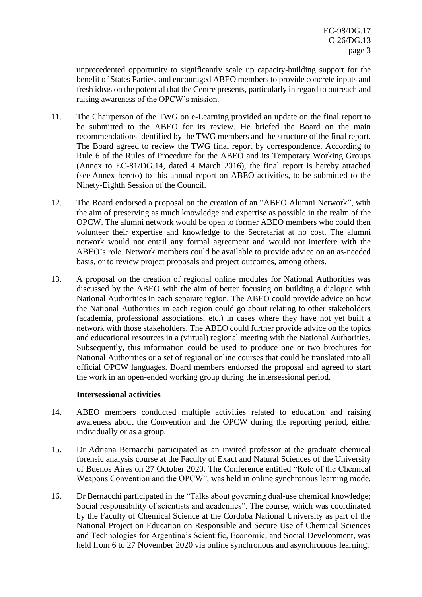unprecedented opportunity to significantly scale up capacity-building support for the benefit of States Parties, and encouraged ABEO members to provide concrete inputs and fresh ideas on the potential that the Centre presents, particularly in regard to outreach and raising awareness of the OPCW's mission.

- 11. The Chairperson of the TWG on e-Learning provided an update on the final report to be submitted to the ABEO for its review. He briefed the Board on the main recommendations identified by the TWG members and the structure of the final report. The Board agreed to review the TWG final report by correspondence. According to Rule 6 of the Rules of Procedure for the ABEO and its Temporary Working Groups (Annex to EC-81/DG.14, dated 4 March 2016), the final report is hereby attached (see Annex hereto) to this annual report on ABEO activities, to be submitted to the Ninety-Eighth Session of the Council.
- 12. The Board endorsed a proposal on the creation of an "ABEO Alumni Network", with the aim of preserving as much knowledge and expertise as possible in the realm of the OPCW. The alumni network would be open to former ABEO members who could then volunteer their expertise and knowledge to the Secretariat at no cost. The alumni network would not entail any formal agreement and would not interfere with the ABEO's role. Network members could be available to provide advice on an as-needed basis, or to review project proposals and project outcomes, among others.
- 13. A proposal on the creation of regional online modules for National Authorities was discussed by the ABEO with the aim of better focusing on building a dialogue with National Authorities in each separate region. The ABEO could provide advice on how the National Authorities in each region could go about relating to other stakeholders (academia, professional associations, etc.) in cases where they have not yet built a network with those stakeholders. The ABEO could further provide advice on the topics and educational resources in a (virtual) regional meeting with the National Authorities. Subsequently, this information could be used to produce one or two brochures for National Authorities or a set of regional online courses that could be translated into all official OPCW languages. Board members endorsed the proposal and agreed to start the work in an open-ended working group during the intersessional period.

#### **Intersessional activities**

- 14. ABEO members conducted multiple activities related to education and raising awareness about the Convention and the OPCW during the reporting period, either individually or as a group.
- 15. Dr Adriana Bernacchi participated as an invited professor at the graduate chemical forensic analysis course at the Faculty of Exact and Natural Sciences of the University of Buenos Aires on 27 October 2020. The Conference entitled "Role of the Chemical Weapons Convention and the OPCW", was held in online synchronous learning mode.
- 16. Dr Bernacchi participated in the "Talks about governing dual-use chemical knowledge; Social responsibility of scientists and academics". The course, which was coordinated by the Faculty of Chemical Science at the Córdoba National University as part of the National Project on Education on Responsible and Secure Use of Chemical Sciences and Technologies for Argentina's Scientific, Economic, and Social Development, was held from 6 to 27 November 2020 via online synchronous and asynchronous learning.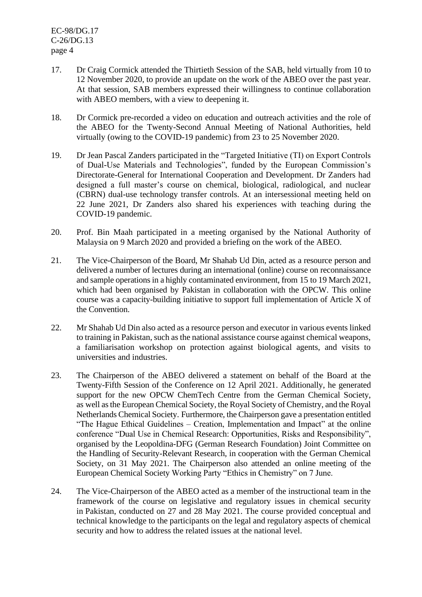- 17. Dr Craig Cormick attended the Thirtieth Session of the SAB, held virtually from 10 to 12 November 2020, to provide an update on the work of the ABEO over the past year. At that session, SAB members expressed their willingness to continue collaboration with ABEO members, with a view to deepening it.
- 18. Dr Cormick pre-recorded a video on education and outreach activities and the role of the ABEO for the Twenty-Second Annual Meeting of National Authorities, held virtually (owing to the COVID-19 pandemic) from 23 to 25 November 2020.
- 19. Dr Jean Pascal Zanders participated in the "Targeted Initiative (TI) on Export Controls of Dual-Use Materials and Technologies", funded by the European Commission's Directorate-General for International Cooperation and Development. Dr Zanders had designed a full master's course on chemical, biological, radiological, and nuclear (CBRN) dual-use technology transfer controls. At an intersessional meeting held on 22 June 2021, Dr Zanders also shared his experiences with teaching during the COVID-19 pandemic.
- 20. Prof. Bin Maah participated in a meeting organised by the National Authority of Malaysia on 9 March 2020 and provided a briefing on the work of the ABEO.
- 21. The Vice-Chairperson of the Board, Mr Shahab Ud Din, acted as a resource person and delivered a number of lectures during an international (online) course on reconnaissance and sample operations in a highly contaminated environment, from 15 to 19 March 2021, which had been organised by Pakistan in collaboration with the OPCW. This online course was a capacity-building initiative to support full implementation of Article X of the Convention.
- 22. Mr Shahab Ud Din also acted as a resource person and executor in various events linked to training in Pakistan, such as the national assistance course against chemical weapons, a familiarisation workshop on protection against biological agents, and visits to universities and industries.
- 23. The Chairperson of the ABEO delivered a statement on behalf of the Board at the Twenty-Fifth Session of the Conference on 12 April 2021. Additionally, he generated support for the new OPCW ChemTech Centre from the German Chemical Society, as well as the European Chemical Society, the Royal Society of Chemistry, and the Royal Netherlands Chemical Society. Furthermore, the Chairperson gave a presentation entitled "The Hague Ethical Guidelines – Creation, Implementation and Impact" at the online conference "Dual Use in Chemical Research: Opportunities, Risks and Responsibility", organised by the Leopoldina-DFG (German Research Foundation) Joint Committee on the Handling of Security-Relevant Research, in cooperation with the German Chemical Society, on 31 May 2021. The Chairperson also attended an online meeting of the European Chemical Society Working Party "Ethics in Chemistry" on 7 June.
- 24. The Vice-Chairperson of the ABEO acted as a member of the instructional team in the framework of the course on legislative and regulatory issues in chemical security in Pakistan, conducted on 27 and 28 May 2021. The course provided conceptual and technical knowledge to the participants on the legal and regulatory aspects of chemical security and how to address the related issues at the national level.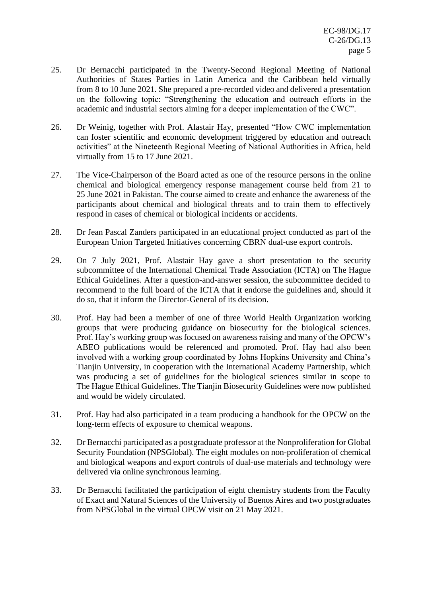- 25. Dr Bernacchi participated in the Twenty-Second Regional Meeting of National Authorities of States Parties in Latin America and the Caribbean held virtually from 8 to 10 June 2021. She prepared a pre-recorded video and delivered a presentation on the following topic: "Strengthening the education and outreach efforts in the academic and industrial sectors aiming for a deeper implementation of the CWC".
- 26. Dr Weinig, together with Prof. Alastair Hay, presented "How CWC implementation can foster scientific and economic development triggered by education and outreach activities" at the Nineteenth Regional Meeting of National Authorities in Africa, held virtually from 15 to 17 June 2021.
- 27. The Vice-Chairperson of the Board acted as one of the resource persons in the online chemical and biological emergency response management course held from 21 to 25 June 2021 in Pakistan. The course aimed to create and enhance the awareness of the participants about chemical and biological threats and to train them to effectively respond in cases of chemical or biological incidents or accidents.
- 28. Dr Jean Pascal Zanders participated in an educational project conducted as part of the European Union Targeted Initiatives concerning CBRN dual-use export controls.
- 29. On 7 July 2021, Prof. Alastair Hay gave a short presentation to the security subcommittee of the International Chemical Trade Association (ICTA) on The Hague Ethical Guidelines. After a question-and-answer session, the subcommittee decided to recommend to the full board of the ICTA that it endorse the guidelines and, should it do so, that it inform the Director-General of its decision.
- 30. Prof. Hay had been a member of one of three World Health Organization working groups that were producing guidance on biosecurity for the biological sciences. Prof. Hay's working group was focused on awareness raising and many of the OPCW's ABEO publications would be referenced and promoted. Prof. Hay had also been involved with a working group coordinated by Johns Hopkins University and China's Tianjin University, in cooperation with the International Academy Partnership, which was producing a set of guidelines for the biological sciences similar in scope to The Hague Ethical Guidelines. The Tianjin Biosecurity Guidelines were now published and would be widely circulated.
- 31. Prof. Hay had also participated in a team producing a handbook for the OPCW on the long-term effects of exposure to chemical weapons.
- 32. Dr Bernacchi participated as a postgraduate professor at the Nonproliferation for Global Security Foundation (NPSGlobal). The eight modules on non-proliferation of chemical and biological weapons and export controls of dual-use materials and technology were delivered via online synchronous learning.
- 33. Dr Bernacchi facilitated the participation of eight chemistry students from the Faculty of Exact and Natural Sciences of the University of Buenos Aires and two postgraduates from NPSGlobal in the virtual OPCW visit on 21 May 2021.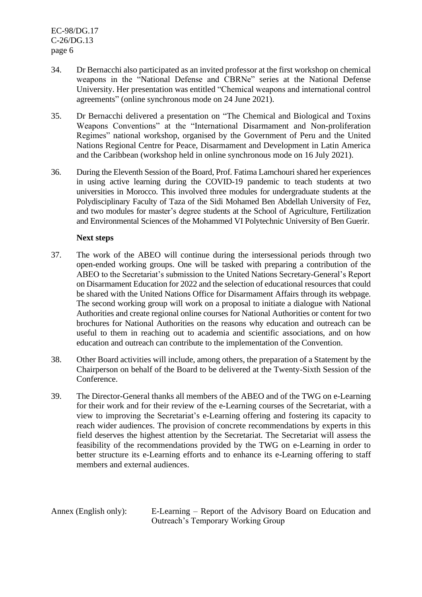- 34. Dr Bernacchi also participated as an invited professor at the first workshop on chemical weapons in the "National Defense and CBRNe" series at the National Defense University. Her presentation was entitled "Chemical weapons and international control agreements" (online synchronous mode on 24 June 2021).
- 35. Dr Bernacchi delivered a presentation on "The Chemical and Biological and Toxins Weapons Conventions" at the "International Disarmament and Non-proliferation Regimes" national workshop, organised by the Government of Peru and the United Nations Regional Centre for Peace, Disarmament and Development in Latin America and the Caribbean (workshop held in online synchronous mode on 16 July 2021).
- 36. During the Eleventh Session of the Board, Prof. Fatima Lamchouri shared her experiences in using active learning during the COVID-19 pandemic to teach students at two universities in Morocco. This involved three modules for undergraduate students at the Polydisciplinary Faculty of Taza of the Sidi Mohamed Ben Abdellah University of Fez, and two modules for master's degree students at the School of Agriculture, Fertilization and Environmental Sciences of the Mohammed VI Polytechnic University of Ben Guerir.

### **Next steps**

- 37. The work of the ABEO will continue during the intersessional periods through two open-ended working groups. One will be tasked with preparing a contribution of the ABEO to the Secretariat's submission to the United Nations Secretary-General's Report on Disarmament Education for 2022 and the selection of educational resources that could be shared with the United Nations Office for Disarmament Affairs through its webpage. The second working group will work on a proposal to initiate a dialogue with National Authorities and create regional online courses for National Authorities or content for two brochures for National Authorities on the reasons why education and outreach can be useful to them in reaching out to academia and scientific associations, and on how education and outreach can contribute to the implementation of the Convention.
- 38. Other Board activities will include, among others, the preparation of a Statement by the Chairperson on behalf of the Board to be delivered at the Twenty-Sixth Session of the Conference.
- 39. The Director-General thanks all members of the ABEO and of the TWG on e-Learning for their work and for their review of the e-Learning courses of the Secretariat, with a view to improving the Secretariat's e-Learning offering and fostering its capacity to reach wider audiences. The provision of concrete recommendations by experts in this field deserves the highest attention by the Secretariat. The Secretariat will assess the feasibility of the recommendations provided by the TWG on e-Learning in order to better structure its e-Learning efforts and to enhance its e-Learning offering to staff members and external audiences.

Annex (English only): E-Learning – Report of the Advisory Board on Education and Outreach's Temporary Working Group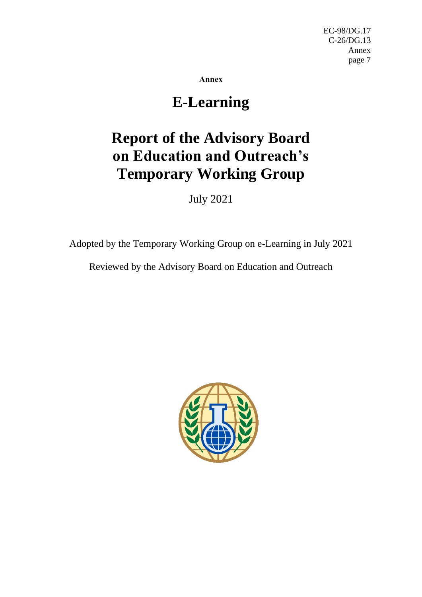**Annex**

## **E-Learning**

# **Report of the Advisory Board on Education and Outreach's Temporary Working Group**

July 2021

Adopted by the Temporary Working Group on e-Learning in July 2021

Reviewed by the Advisory Board on Education and Outreach

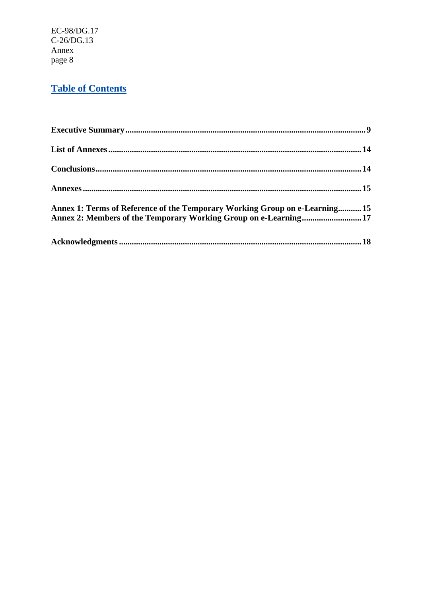## **Table of Contents**

| Annex 1: Terms of Reference of the Temporary Working Group on e-Learning 15<br>Annex 2: Members of the Temporary Working Group on e-Learning 17 |  |
|-------------------------------------------------------------------------------------------------------------------------------------------------|--|
|                                                                                                                                                 |  |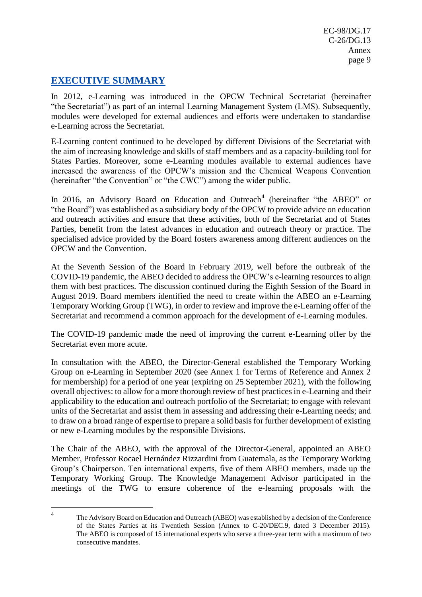## **EXECUTIVE SUMMARY**

In 2012, e-Learning was introduced in the OPCW Technical Secretariat (hereinafter "the Secretariat") as part of an internal Learning Management System (LMS). Subsequently, modules were developed for external audiences and efforts were undertaken to standardise e-Learning across the Secretariat.

E-Learning content continued to be developed by different Divisions of the Secretariat with the aim of increasing knowledge and skills of staff members and as a capacity-building tool for States Parties. Moreover, some e-Learning modules available to external audiences have increased the awareness of the OPCW's mission and the Chemical Weapons Convention (hereinafter "the Convention" or "the CWC") among the wider public.

In 2016, an Advisory Board on Education and Outreach<sup>4</sup> (hereinafter "the ABEO" or "the Board") was established as a subsidiary body of the OPCW to provide advice on education and outreach activities and ensure that these activities, both of the Secretariat and of States Parties, benefit from the latest advances in education and outreach theory or practice. The specialised advice provided by the Board fosters awareness among different audiences on the OPCW and the Convention.

At the Seventh Session of the Board in February 2019, well before the outbreak of the COVID-19 pandemic, the ABEO decided to address the OPCW's e-learning resources to align them with best practices. The discussion continued during the Eighth Session of the Board in August 2019. Board members identified the need to create within the ABEO an e-Learning Temporary Working Group (TWG), in order to review and improve the e-Learning offer of the Secretariat and recommend a common approach for the development of e-Learning modules.

The COVID-19 pandemic made the need of improving the current e-Learning offer by the Secretariat even more acute.

In consultation with the ABEO, the Director-General established the Temporary Working Group on e-Learning in September 2020 (see Annex 1 for Terms of Reference and Annex 2 for membership) for a period of one year (expiring on 25 September 2021), with the following overall objectives: to allow for a more thorough review of best practices in e-Learning and their applicability to the education and outreach portfolio of the Secretariat; to engage with relevant units of the Secretariat and assist them in assessing and addressing their e-Learning needs; and to draw on a broad range of expertise to prepare a solid basis for further development of existing or new e-Learning modules by the responsible Divisions.

The Chair of the ABEO, with the approval of the Director-General, appointed an ABEO Member, Professor Rocael Hernández Rizzardini from Guatemala, as the Temporary Working Group's Chairperson. Ten international experts, five of them ABEO members, made up the Temporary Working Group. The Knowledge Management Advisor participated in the meetings of the TWG to ensure coherence of the e-learning proposals with the

<sup>4</sup> The Advisory Board on Education and Outreach (ABEO) was established by a decision of the Conference of the States Parties at its Twentieth Session (Annex to C-20/DEC.9, dated 3 December 2015). The ABEO is composed of 15 international experts who serve a three-year term with a maximum of two consecutive mandates.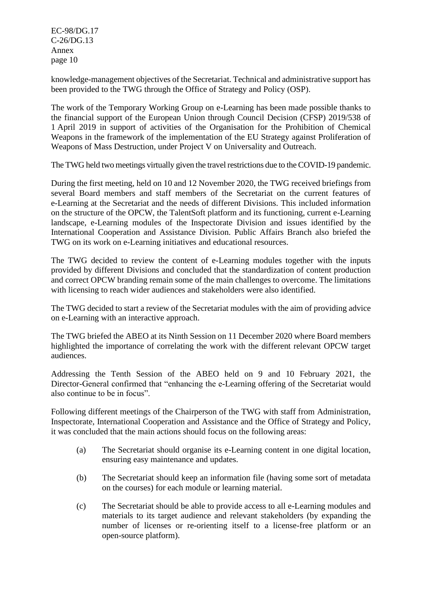knowledge-management objectives of the Secretariat. Technical and administrative support has been provided to the TWG through the Office of Strategy and Policy (OSP).

The work of the Temporary Working Group on e-Learning has been made possible thanks to the financial support of the European Union through Council Decision (CFSP) 2019/538 of 1 April 2019 in support of activities of the Organisation for the Prohibition of Chemical Weapons in the framework of the implementation of the EU Strategy against Proliferation of Weapons of Mass Destruction, under Project V on Universality and Outreach.

The TWG held two meetings virtually given the travel restrictions due to the COVID-19 pandemic.

During the first meeting, held on 10 and 12 November 2020, the TWG received briefings from several Board members and staff members of the Secretariat on the current features of e-Learning at the Secretariat and the needs of different Divisions. This included information on the structure of the OPCW, the TalentSoft platform and its functioning, current e-Learning landscape, e-Learning modules of the Inspectorate Division and issues identified by the International Cooperation and Assistance Division. Public Affairs Branch also briefed the TWG on its work on e-Learning initiatives and educational resources.

The TWG decided to review the content of e-Learning modules together with the inputs provided by different Divisions and concluded that the standardization of content production and correct OPCW branding remain some of the main challenges to overcome. The limitations with licensing to reach wider audiences and stakeholders were also identified.

The TWG decided to start a review of the Secretariat modules with the aim of providing advice on e-Learning with an interactive approach.

The TWG briefed the ABEO at its Ninth Session on 11 December 2020 where Board members highlighted the importance of correlating the work with the different relevant OPCW target audiences.

Addressing the Tenth Session of the ABEO held on 9 and 10 February 2021, the Director-General confirmed that "enhancing the e-Learning offering of the Secretariat would also continue to be in focus".

Following different meetings of the Chairperson of the TWG with staff from Administration, Inspectorate, International Cooperation and Assistance and the Office of Strategy and Policy, it was concluded that the main actions should focus on the following areas:

- (a) The Secretariat should organise its e-Learning content in one digital location, ensuring easy maintenance and updates.
- (b) The Secretariat should keep an information file (having some sort of metadata on the courses) for each module or learning material.
- (c) The Secretariat should be able to provide access to all e-Learning modules and materials to its target audience and relevant stakeholders (by expanding the number of licenses or re-orienting itself to a license-free platform or an open-source platform).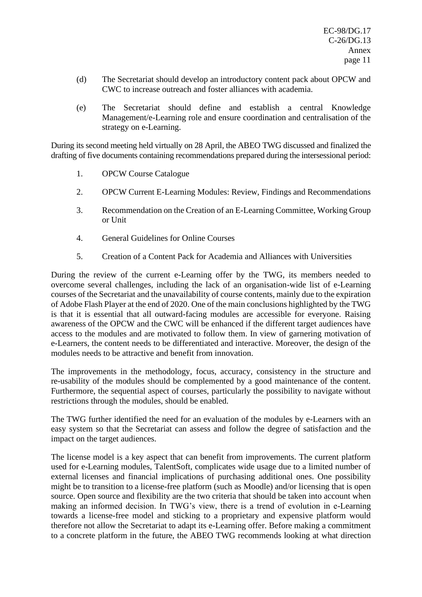- (d) The Secretariat should develop an introductory content pack about OPCW and CWC to increase outreach and foster alliances with academia.
- (e) The Secretariat should define and establish a central Knowledge Management/e-Learning role and ensure coordination and centralisation of the strategy on e-Learning.

During its second meeting held virtually on 28 April, the ABEO TWG discussed and finalized the drafting of five documents containing recommendations prepared during the intersessional period:

- 1. OPCW Course Catalogue
- 2. OPCW Current E-Learning Modules: Review, Findings and Recommendations
- 3. Recommendation on the Creation of an E-Learning Committee, Working Group or Unit
- 4. General Guidelines for Online Courses
- 5. Creation of a Content Pack for Academia and Alliances with Universities

During the review of the current e-Learning offer by the TWG, its members needed to overcome several challenges, including the lack of an organisation-wide list of e-Learning courses of the Secretariat and the unavailability of course contents, mainly due to the expiration of Adobe Flash Player at the end of 2020. One of the main conclusions highlighted by the TWG is that it is essential that all outward-facing modules are accessible for everyone. Raising awareness of the OPCW and the CWC will be enhanced if the different target audiences have access to the modules and are motivated to follow them. In view of garnering motivation of e-Learners, the content needs to be differentiated and interactive. Moreover, the design of the modules needs to be attractive and benefit from innovation.

The improvements in the methodology, focus, accuracy, consistency in the structure and re-usability of the modules should be complemented by a good maintenance of the content. Furthermore, the sequential aspect of courses, particularly the possibility to navigate without restrictions through the modules, should be enabled.

The TWG further identified the need for an evaluation of the modules by e-Learners with an easy system so that the Secretariat can assess and follow the degree of satisfaction and the impact on the target audiences.

The license model is a key aspect that can benefit from improvements. The current platform used for e-Learning modules, TalentSoft, complicates wide usage due to a limited number of external licenses and financial implications of purchasing additional ones. One possibility might be to transition to a license-free platform (such as Moodle) and/or licensing that is open source. Open source and flexibility are the two criteria that should be taken into account when making an informed decision. In TWG's view, there is a trend of evolution in e-Learning towards a license-free model and sticking to a proprietary and expensive platform would therefore not allow the Secretariat to adapt its e-Learning offer. Before making a commitment to a concrete platform in the future, the ABEO TWG recommends looking at what direction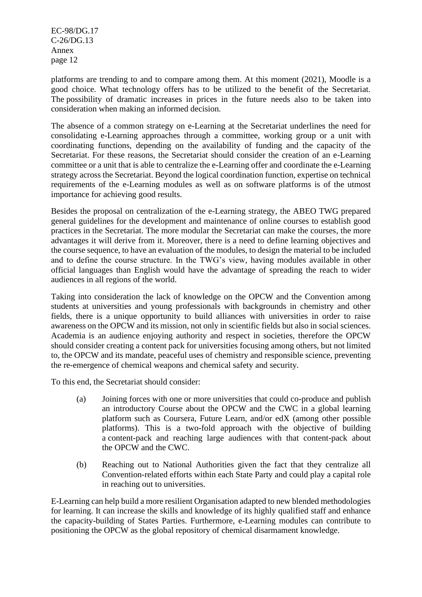platforms are trending to and to compare among them. At this moment (2021), Moodle is a good choice. What technology offers has to be utilized to the benefit of the Secretariat. The possibility of dramatic increases in prices in the future needs also to be taken into consideration when making an informed decision.

The absence of a common strategy on e-Learning at the Secretariat underlines the need for consolidating e-Learning approaches through a committee, working group or a unit with coordinating functions, depending on the availability of funding and the capacity of the Secretariat. For these reasons, the Secretariat should consider the creation of an e-Learning committee or a unit that is able to centralize the e-Learning offer and coordinate the e-Learning strategy across the Secretariat. Beyond the logical coordination function, expertise on technical requirements of the e-Learning modules as well as on software platforms is of the utmost importance for achieving good results.

Besides the proposal on centralization of the e-Learning strategy, the ABEO TWG prepared general guidelines for the development and maintenance of online courses to establish good practices in the Secretariat. The more modular the Secretariat can make the courses, the more advantages it will derive from it. Moreover, there is a need to define learning objectives and the course sequence, to have an evaluation of the modules, to design the material to be included and to define the course structure. In the TWG's view, having modules available in other official languages than English would have the advantage of spreading the reach to wider audiences in all regions of the world.

Taking into consideration the lack of knowledge on the OPCW and the Convention among students at universities and young professionals with backgrounds in chemistry and other fields, there is a unique opportunity to build alliances with universities in order to raise awareness on the OPCW and its mission, not only in scientific fields but also in social sciences. Academia is an audience enjoying authority and respect in societies, therefore the OPCW should consider creating a content pack for universities focusing among others, but not limited to, the OPCW and its mandate, peaceful uses of chemistry and responsible science, preventing the re-emergence of chemical weapons and chemical safety and security.

To this end, the Secretariat should consider:

- (a) Joining forces with one or more universities that could co-produce and publish an introductory Course about the OPCW and the CWC in a global learning platform such as Coursera, Future Learn, and/or edX (among other possible platforms). This is a two-fold approach with the objective of building a content-pack and reaching large audiences with that content-pack about the OPCW and the CWC.
- (b) Reaching out to National Authorities given the fact that they centralize all Convention-related efforts within each State Party and could play a capital role in reaching out to universities.

E-Learning can help build a more resilient Organisation adapted to new blended methodologies for learning. It can increase the skills and knowledge of its highly qualified staff and enhance the capacity-building of States Parties. Furthermore, e-Learning modules can contribute to positioning the OPCW as the global repository of chemical disarmament knowledge.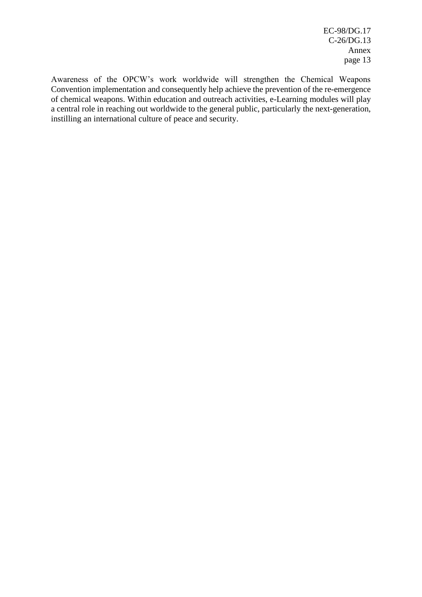Awareness of the OPCW's work worldwide will strengthen the Chemical Weapons Convention implementation and consequently help achieve the prevention of the re-emergence of chemical weapons. Within education and outreach activities, e-Learning modules will play a central role in reaching out worldwide to the general public, particularly the next-generation, instilling an international culture of peace and security.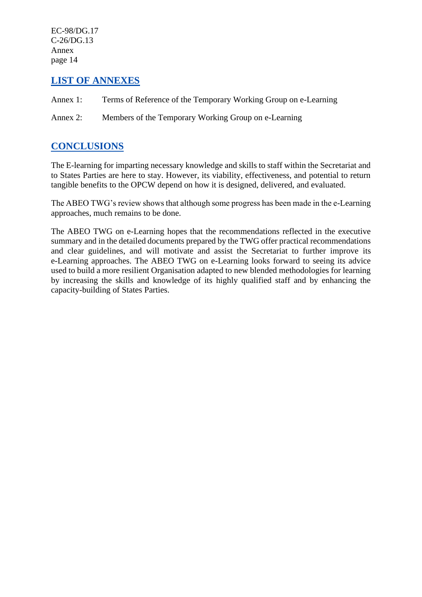## **LIST OF ANNEXES**

- Annex 1: Terms of Reference of the Temporary Working Group on e-Learning
- Annex 2: Members of the Temporary Working Group on e-Learning

## **CONCLUSIONS**

The E-learning for imparting necessary knowledge and skills to staff within the Secretariat and to States Parties are here to stay. However, its viability, effectiveness, and potential to return tangible benefits to the OPCW depend on how it is designed, delivered, and evaluated.

The ABEO TWG's review shows that although some progress has been made in the e-Learning approaches, much remains to be done.

The ABEO TWG on e-Learning hopes that the recommendations reflected in the executive summary and in the detailed documents prepared by the TWG offer practical recommendations and clear guidelines, and will motivate and assist the Secretariat to further improve its e-Learning approaches. The ABEO TWG on e-Learning looks forward to seeing its advice used to build a more resilient Organisation adapted to new blended methodologies for learning by increasing the skills and knowledge of its highly qualified staff and by enhancing the capacity-building of States Parties.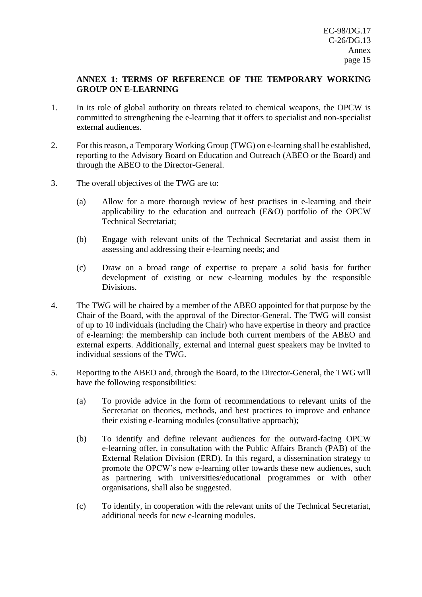### **ANNEX 1: TERMS OF REFERENCE OF THE TEMPORARY WORKING GROUP ON E-LEARNING**

- 1. In its role of global authority on threats related to chemical weapons, the OPCW is committed to strengthening the e-learning that it offers to specialist and non-specialist external audiences.
- 2. For this reason, a Temporary Working Group (TWG) on e-learning shall be established, reporting to the Advisory Board on Education and Outreach (ABEO or the Board) and through the ABEO to the Director-General.
- 3. The overall objectives of the TWG are to:
	- (a) Allow for a more thorough review of best practises in e-learning and their applicability to the education and outreach (E&O) portfolio of the OPCW Technical Secretariat;
	- (b) Engage with relevant units of the Technical Secretariat and assist them in assessing and addressing their e-learning needs; and
	- (c) Draw on a broad range of expertise to prepare a solid basis for further development of existing or new e-learning modules by the responsible Divisions.
- 4. The TWG will be chaired by a member of the ABEO appointed for that purpose by the Chair of the Board, with the approval of the Director-General. The TWG will consist of up to 10 individuals (including the Chair) who have expertise in theory and practice of e-learning: the membership can include both current members of the ABEO and external experts. Additionally, external and internal guest speakers may be invited to individual sessions of the TWG.
- 5. Reporting to the ABEO and, through the Board, to the Director-General, the TWG will have the following responsibilities:
	- (a) To provide advice in the form of recommendations to relevant units of the Secretariat on theories, methods, and best practices to improve and enhance their existing e-learning modules (consultative approach);
	- (b) To identify and define relevant audiences for the outward-facing OPCW e-learning offer, in consultation with the Public Affairs Branch (PAB) of the External Relation Division (ERD). In this regard, a dissemination strategy to promote the OPCW's new e-learning offer towards these new audiences, such as partnering with universities/educational programmes or with other organisations, shall also be suggested.
	- (c) To identify, in cooperation with the relevant units of the Technical Secretariat, additional needs for new e-learning modules.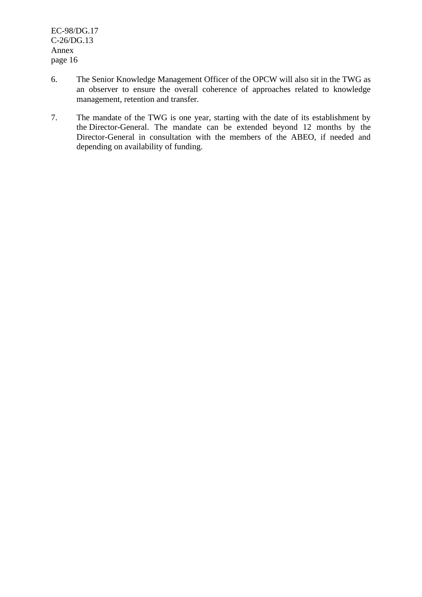- 6. The Senior Knowledge Management Officer of the OPCW will also sit in the TWG as an observer to ensure the overall coherence of approaches related to knowledge management, retention and transfer.
- 7. The mandate of the TWG is one year, starting with the date of its establishment by the Director-General. The mandate can be extended beyond 12 months by the Director-General in consultation with the members of the ABEO, if needed and depending on availability of funding.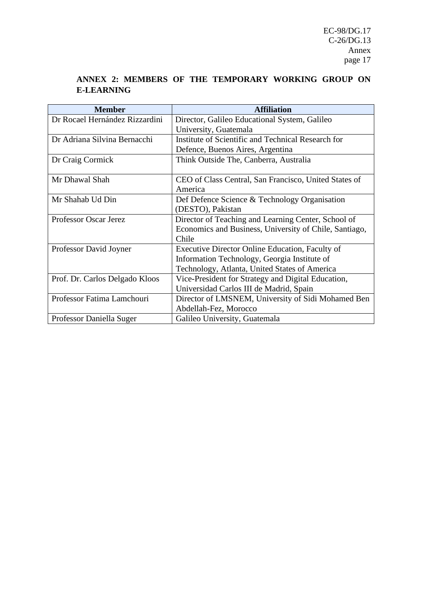## **ANNEX 2: MEMBERS OF THE TEMPORARY WORKING GROUP ON E-LEARNING**

| <b>Member</b>                  | <b>Affiliation</b>                                     |
|--------------------------------|--------------------------------------------------------|
| Dr Rocael Hernández Rizzardini | Director, Galileo Educational System, Galileo          |
|                                | University, Guatemala                                  |
| Dr Adriana Silvina Bernacchi   | Institute of Scientific and Technical Research for     |
|                                | Defence, Buenos Aires, Argentina                       |
| Dr Craig Cormick               | Think Outside The, Canberra, Australia                 |
|                                |                                                        |
| Mr Dhawal Shah                 | CEO of Class Central, San Francisco, United States of  |
|                                | America                                                |
| Mr Shahab Ud Din               | Def Defence Science & Technology Organisation          |
|                                | (DESTO), Pakistan                                      |
| Professor Oscar Jerez          | Director of Teaching and Learning Center, School of    |
|                                | Economics and Business, University of Chile, Santiago, |
|                                | Chile                                                  |
| Professor David Joyner         | Executive Director Online Education, Faculty of        |
|                                | Information Technology, Georgia Institute of           |
|                                | Technology, Atlanta, United States of America          |
| Prof. Dr. Carlos Delgado Kloos | Vice-President for Strategy and Digital Education,     |
|                                | Universidad Carlos III de Madrid, Spain                |
| Professor Fatima Lamchouri     | Director of LMSNEM, University of Sidi Mohamed Ben     |
|                                | Abdellah-Fez, Morocco                                  |
| Professor Daniella Suger       | Galileo University, Guatemala                          |